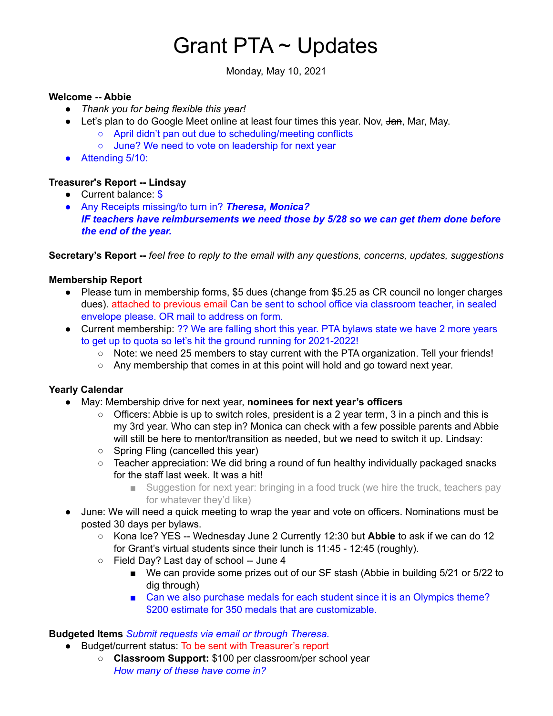# Grant PTA ~ Updates

Monday, May 10, 2021

#### **Welcome -- Abbie**

- *Thank you for being flexible this year!*
- Let's plan to do Google Meet online at least four times this year. Nov, Jan, Mar, May.
	- April didn't pan out due to scheduling/meeting conflicts
	- June? We need to vote on leadership for next year
- Attending 5/10:

#### **Treasurer's Report -- Lindsay**

- Current balance: \$
- Any Receipts missing/to turn in? *Theresa, Monica? IF teachers have reimbursements we need those by 5/28 so we can get them done before the end of the year.*

**Secretary's Report --** *feel free to reply to the email with any questions, concerns, updates, suggestions*

#### **Membership Report**

- Please turn in membership forms, \$5 dues (change from \$5.25 as CR council no longer charges dues). attached to previous email Can be sent to school office via classroom teacher, in sealed envelope please. OR mail to address on form.
- Current membership: ?? We are falling short this year. PTA bylaws state we have 2 more years to get up to quota so let's hit the ground running for 2021-2022!
	- Note: we need 25 members to stay current with the PTA organization. Tell your friends!
	- $\circ$  Any membership that comes in at this point will hold and go toward next year.

#### **Yearly Calendar**

- May: Membership drive for next year, **nominees for next year's officers**
	- $\circ$  Officers: Abbie is up to switch roles, president is a 2 year term, 3 in a pinch and this is my 3rd year. Who can step in? Monica can check with a few possible parents and Abbie will still be here to mentor/transition as needed, but we need to switch it up. Lindsay:
	- Spring Fling (cancelled this year)
	- Teacher appreciation: We did bring a round of fun healthy individually packaged snacks for the staff last week. It was a hit!
		- Suggestion for next year: bringing in a food truck (we hire the truck, teachers pay for whatever they'd like)
- June: We will need a quick meeting to wrap the year and vote on officers. Nominations must be posted 30 days per bylaws.
	- Kona Ice? YES -- Wednesday June 2 Currently 12:30 but **Abbie** to ask if we can do 12 for Grant's virtual students since their lunch is 11:45 - 12:45 (roughly).
	- Field Day? Last day of school -- June 4
		- We can provide some prizes out of our SF stash (Abbie in building 5/21 or 5/22 to dig through)
		- Can we also purchase medals for each student since it is an Olympics theme? \$200 estimate for 350 medals that are customizable.

## **Budgeted Items** *Submit requests via email or through Theresa.*

- Budget/current status: To be sent with Treasurer's report
	- **Classroom Support:** \$100 per classroom/per school year *How many of these have come in?*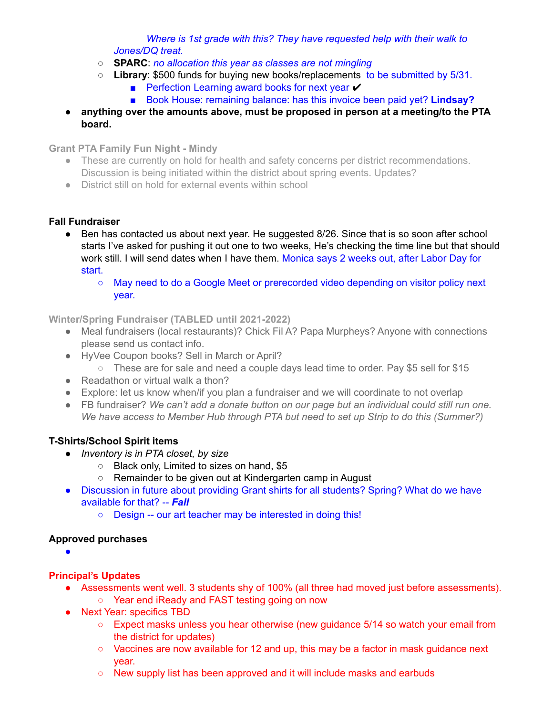*Where is 1st grade with this? They have requested help with their walk to Jones/DQ treat.*

- **SPARC**: *no allocation this year as classes are not mingling*
- **Library**: \$500 funds for buying new books/replacements to be submitted by 5/31.
	- Perfection Learning award books for next year  $\checkmark$
	- Book House: remaining balance: has this invoice been paid yet? **Lindsay?**
- **anything over the amounts above, must be proposed in person at a meeting/to the PTA board.**

**Grant PTA Family Fun Night - Mindy**

- These are currently on hold for health and safety concerns per district recommendations. Discussion is being initiated within the district about spring events. Updates?
- District still on hold for external events within school

## **Fall Fundraiser**

- Ben has contacted us about next year. He suggested 8/26. Since that is so soon after school starts I've asked for pushing it out one to two weeks, He's checking the time line but that should work still. I will send dates when I have them. Monica says 2 weeks out, after Labor Day for start.
	- May need to do a Google Meet or prerecorded video depending on visitor policy next year.

**Winter/Spring Fundraiser (TABLED until 2021-2022)**

- Meal fundraisers (local restaurants)? Chick Fil A? Papa Murpheys? Anyone with connections please send us contact info.
- HyVee Coupon books? Sell in March or April?
	- These are for sale and need a couple days lead time to order. Pay \$5 sell for \$15
- $\bullet$  Readathon or virtual walk a thon?
- Explore: let us know when/if you plan a fundraiser and we will coordinate to not overlap
- FB fundraiser? *We can't add a donate button on our page but an individual could still run one. We have access to Member Hub through PTA but need to set up Strip to do this (Summer?)*

# **T-Shirts/School Spirit items**

- *● Inventory is in PTA closet, by size*
	- Black only, Limited to sizes on hand, \$5
	- Remainder to be given out at Kindergarten camp in August
- Discussion in future about providing Grant shirts for all students? Spring? What do we have available for that? -- *Fall*
	- Design -- our art teacher may be interested in doing this!

## **Approved purchases**

●

# **Principal's Updates**

- Assessments went well. 3 students shy of 100% (all three had moved just before assessments).
	- Year end iReady and FAST testing going on now
- Next Year: specifics TBD
	- $\circ$  Expect masks unless you hear otherwise (new quidance 5/14 so watch your email from the district for updates)
	- $\circ$  Vaccines are now available for 12 and up, this may be a factor in mask guidance next year.
	- New supply list has been approved and it will include masks and earbuds